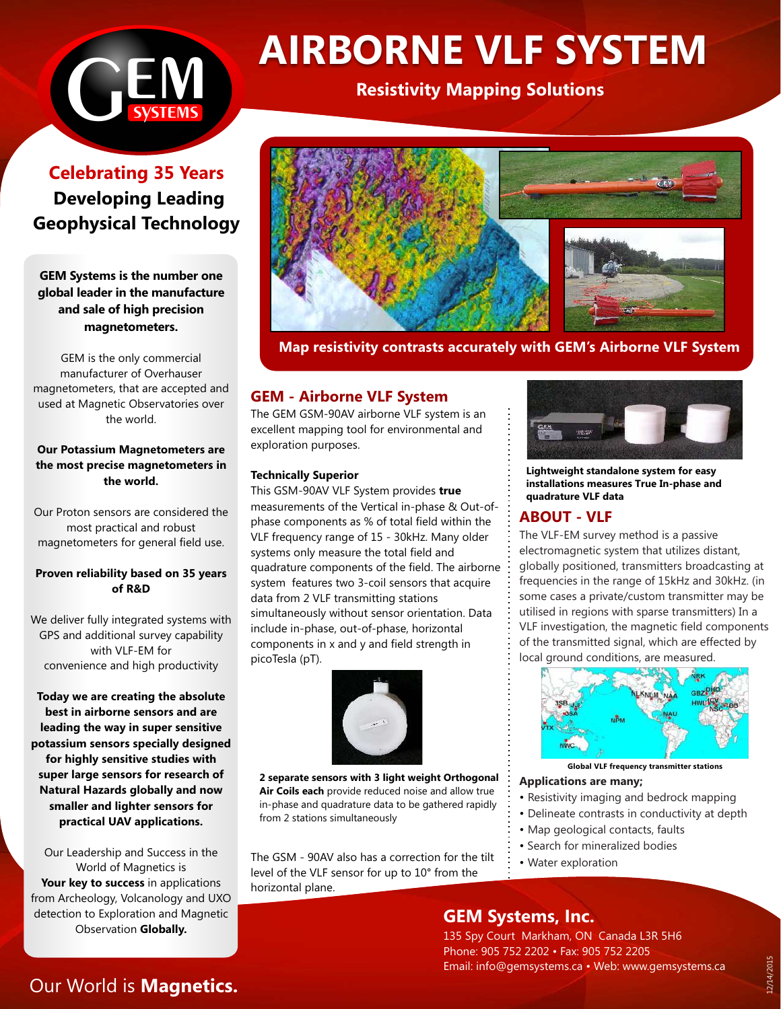

# **AIRBORNE VLF SYSTEM**

# **Resistivity Mapping Solutions**

**Celebrating 35 Years Developing Leading Geophysical Technology**

**GEM Systems is the number one global leader in the manufacture and sale of high precision magnetometers.**

GEM is the only commercial manufacturer of Overhauser magnetometers, that are accepted and used at Magnetic Observatories over the world.

## **Our Potassium Magnetometers are the most precise magnetometers in the world.**

Our Proton sensors are considered the most practical and robust magnetometers for general field use.

# **Proven reliability based on 35 years of R&D**

We deliver fully integrated systems with GPS and additional survey capability with VLF-EM for convenience and high productivity

**Today we are creating the absolute best in airborne sensors and are leading the way in super sensitive potassium sensors specially designed for highly sensitive studies with super large sensors for research of Natural Hazards globally and now smaller and lighter sensors for practical UAV applications.**

Our Leadership and Success in the World of Magnetics is Your key to success in applications from Archeology, Volcanology and UXO detection to Exploration and Magnetic Observation **Globally.**



 **Map resistivity contrasts accurately with GEM's Airborne VLF System**

# **GEM - Airborne VLF System**

The GEM GSM-90AV airborne VLF system is an excellent mapping tool for environmental and exploration purposes.

### **Technically Superior**

This GSM-90AV VLF System provides **true** measurements of the Vertical in-phase & Out-ofphase components as % of total field within the VLF frequency range of 15 - 30kHz. Many older systems only measure the total field and quadrature components of the field. The airborne system features two 3-coil sensors that acquire data from 2 VLF transmitting stations simultaneously without sensor orientation. Data include in-phase, out-of-phase, horizontal components in x and y and field strength in picoTesla (pT).



**2 separate sensors with 3 light weight Orthogonal Air Coils each** provide reduced noise and allow true in-phase and quadrature data to be gathered rapidly from 2 stations simultaneously

The GSM - 90AV also has a correction for the tilt level of the VLF sensor for up to 10° from the horizontal plane.



**Lightweight standalone system for easy installations measures True In-phase and quadrature VLF data** 

# **ABOUT - VLF**

The VLF-EM survey method is a passive electromagnetic system that utilizes distant, globally positioned, transmitters broadcasting at frequencies in the range of 15kHz and 30kHz. (in some cases a private/custom transmitter may be utilised in regions with sparse transmitters) In a VLF investigation, the magnetic field components of the transmitted signal, which are effected by local ground conditions, are measured.



**Global VLF frequency transmitter stations**

## **Applications are many;**

- Resistivity imaging and bedrock mapping
- Delineate contrasts in conductivity at depth
- Map geological contacts, faults
- Search for mineralized bodies
- Water exploration

**GEM Systems, Inc.**

135 Spy Court Markham, ON Canada L3R 5H6 Phone: 905 752 2202 • Fax: 905 752 2205 Email: info@gemsystems.ca • Web: www.gemsystems.ca

# Our World is **Magnetics.**